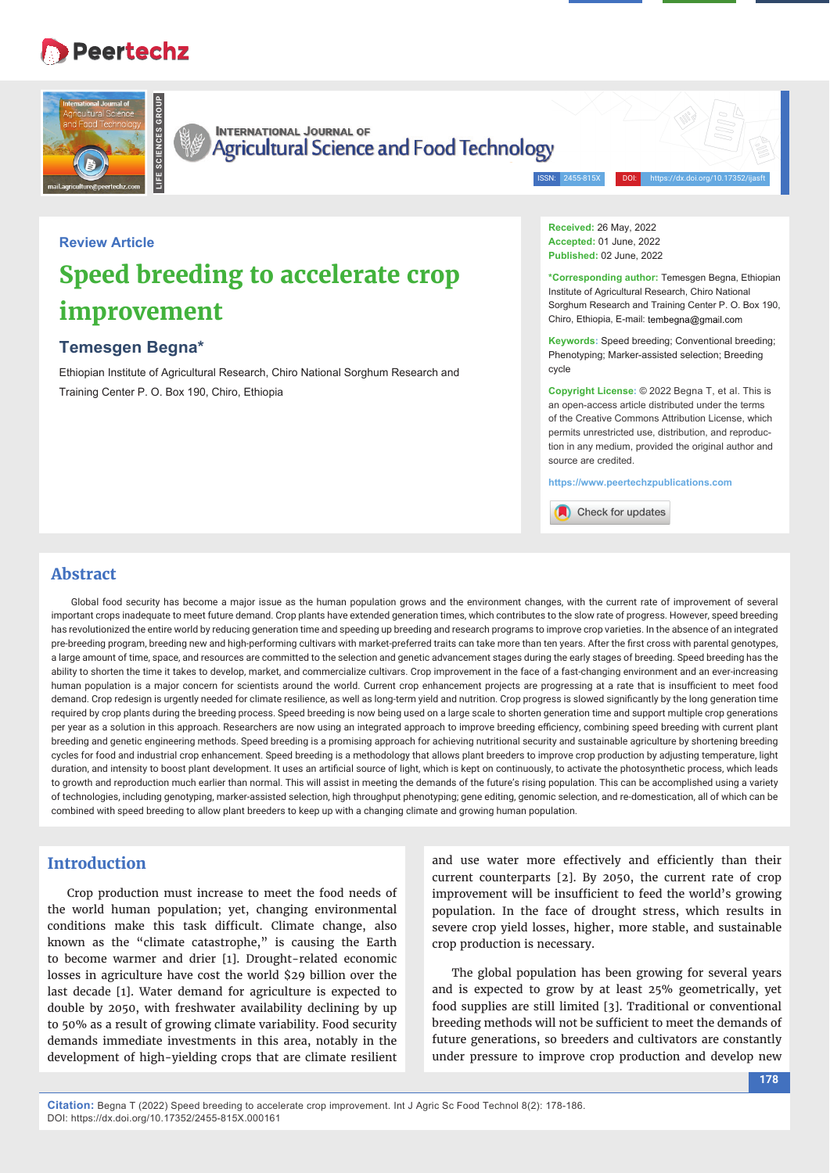# **Peertechz**



**INTERNATIONAL JOURNAL OF Agricultural Science and Food Technology** 

ISSN: 2455-815X DOI: https://dx.doi.org/10.17352/ijasft

# **Review Article Speed breeding to accelerate crop improvement**

# **Temesgen Begna\***

Ethiopian Institute of Agricultural Research, Chiro National Sorghum Research and Training Center P. O. Box 190, Chiro, Ethiopia

**Received:** 26 May, 2022 **Accepted:** 01 June, 2022 **Published:** 02 June, 2022

**\*Corresponding author:** Temesgen Begna, Ethiopian Institute of Agricultural Research, Chiro National Sorghum Research and Training Center P. O. Box 190, Chiro, Ethiopia, E-mail: tembegna@gmail.com

**Keywords:** Speed breeding; Conventional breeding; Phenotyping; Marker-assisted selection; Breeding cycle

**Copyright License:** © 2022 Begna T, et al. This is an open-access article distributed under the terms of the Creative Commons Attribution License, which permits unrestricted use, distribution, and reproduction in any medium, provided the original author and source are credited.

**https://www.peertechzpublications.com**

Check for updates

# **Abstract**

Global food security has become a major issue as the human population grows and the environment changes, with the current rate of improvement of several important crops inadequate to meet future demand. Crop plants have extended generation times, which contributes to the slow rate of progress. However, speed breeding has revolutionized the entire world by reducing generation time and speeding up breeding and research programs to improve crop varieties. In the absence of an integrated pre-breeding program, breeding new and high-performing cultivars with market-preferred traits can take more than ten years. After the first cross with parental genotypes, a large amount of time, space, and resources are committed to the selection and genetic advancement stages during the early stages of breeding. Speed breeding has the ability to shorten the time it takes to develop, market, and commercialize cultivars. Crop improvement in the face of a fast-changing environment and an ever-increasing human population is a major concern for scientists around the world. Current crop enhancement projects are progressing at a rate that is insufficient to meet food demand. Crop redesign is urgently needed for climate resilience, as well as long-term yield and nutrition. Crop progress is slowed signifi cantly by the long generation time required by crop plants during the breeding process. Speed breeding is now being used on a large scale to shorten generation time and support multiple crop generations per year as a solution in this approach. Researchers are now using an integrated approach to improve breeding efficiency, combining speed breeding with current plant breeding and genetic engineering methods. Speed breeding is a promising approach for achieving nutritional security and sustainable agriculture by shortening breeding cycles for food and industrial crop enhancement. Speed breeding is a methodology that allows plant breeders to improve crop production by adjusting temperature, light duration, and intensity to boost plant development. It uses an artificial source of light, which is kept on continuously, to activate the photosynthetic process, which leads to growth and reproduction much earlier than normal. This will assist in meeting the demands of the future's rising population. This can be accomplished using a variety of technologies, including genotyping, marker-assisted selection, high throughput phenotyping; gene editing, genomic selection, and re-domestication, all of which can be combined with speed breeding to allow plant breeders to keep up with a changing climate and growing human population.

# **Introduction**

Crop production must increase to meet the food needs of the world human population; yet, changing environmental conditions make this task difficult. Climate change, also known as the "climate catastrophe," is causing the Earth to become warmer and drier [1]. Drought-related economic losses in agriculture have cost the world \$29 billion over the last decade [1]. Water demand for agriculture is expected to double by 2050, with freshwater availability declining by up to 50% as a result of growing climate variability. Food security demands immediate investments in this area, notably in the development of high-yielding crops that are climate resilient and use water more effectively and efficiently than their current counterparts [2]. By 2050, the current rate of crop improvement will be insufficient to feed the world's growing population. In the face of drought stress, which results in severe crop yield losses, higher, more stable, and sustainable crop production is necessary.

The global population has been growing for several years and is expected to grow by at least 25% geometrically, yet food supplies are still limited [3]. Traditional or conventional breeding methods will not be sufficient to meet the demands of future generations, so breeders and cultivators are constantly under pressure to improve crop production and develop new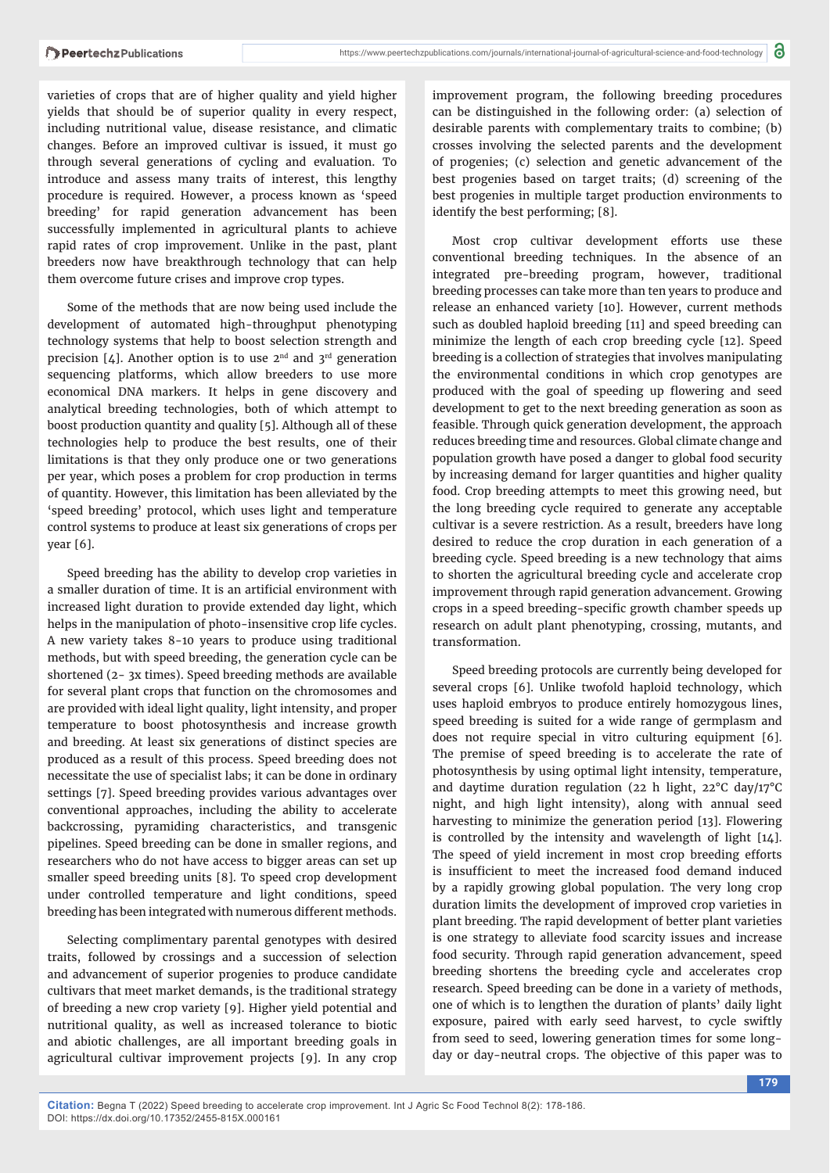varieties of crops that are of higher quality and yield higher yields that should be of superior quality in every respect, including nutritional value, disease resistance, and climatic changes. Before an improved cultivar is issued, it must go through several generations of cycling and evaluation. To introduce and assess many traits of interest, this lengthy procedure is required. However, a process known as 'speed breeding' for rapid generation advancement has been successfully implemented in agricultural plants to achieve rapid rates of crop improvement. Unlike in the past, plant breeders now have breakthrough technology that can help them overcome future crises and improve crop types.

Some of the methods that are now being used include the development of automated high-throughput phenotyping technology systems that help to boost selection strength and precision [4]. Another option is to use  $2<sup>nd</sup>$  and  $3<sup>rd</sup>$  generation sequencing platforms, which allow breeders to use more economical DNA markers. It helps in gene discovery and analytical breeding technologies, both of which attempt to boost production quantity and quality [5]. Although all of these technologies help to produce the best results, one of their limitations is that they only produce one or two generations per year, which poses a problem for crop production in terms of quantity. However, this limitation has been alleviated by the 'speed breeding' protocol, which uses light and temperature control systems to produce at least six generations of crops per year [6].

Speed breeding has the ability to develop crop varieties in a smaller duration of time. It is an artificial environment with increased light duration to provide extended day light, which helps in the manipulation of photo-insensitive crop life cycles. A new variety takes 8-10 years to produce using traditional methods, but with speed breeding, the generation cycle can be shortened (2- 3x times). Speed breeding methods are available for several plant crops that function on the chromosomes and are provided with ideal light quality, light intensity, and proper temperature to boost photosynthesis and increase growth and breeding. At least six generations of distinct species are produced as a result of this process. Speed breeding does not necessitate the use of specialist labs; it can be done in ordinary settings [7]. Speed breeding provides various advantages over conventional approaches, including the ability to accelerate backcrossing, pyramiding characteristics, and transgenic pipelines. Speed breeding can be done in smaller regions, and researchers who do not have access to bigger areas can set up smaller speed breeding units [8]. To speed crop development under controlled temperature and light conditions, speed breeding has been integrated with numerous different methods.

Selecting complimentary parental genotypes with desired traits, followed by crossings and a succession of selection and advancement of superior progenies to produce candidate cultivars that meet market demands, is the traditional strategy of breeding a new crop variety [9]. Higher yield potential and nutritional quality, as well as increased tolerance to biotic and abiotic challenges, are all important breeding goals in agricultural cultivar improvement projects [9]. In any crop

improvement program, the following breeding procedures can be distinguished in the following order: (a) selection of desirable parents with complementary traits to combine; (b) crosses involving the selected parents and the development of progenies; (c) selection and genetic advancement of the best progenies based on target traits; (d) screening of the best progenies in multiple target production environments to identify the best performing; [8].

Most crop cultivar development efforts use these conventional breeding techniques. In the absence of an integrated pre-breeding program, however, traditional breeding processes can take more than ten years to produce and release an enhanced variety [10]. However, current methods such as doubled haploid breeding [11] and speed breeding can minimize the length of each crop breeding cycle [12]. Speed breeding is a collection of strategies that involves manipulating the environmental conditions in which crop genotypes are produced with the goal of speeding up flowering and seed development to get to the next breeding generation as soon as feasible. Through quick generation development, the approach reduces breeding time and resources. Global climate change and population growth have posed a danger to global food security by increasing demand for larger quantities and higher quality food. Crop breeding attempts to meet this growing need, but the long breeding cycle required to generate any acceptable cultivar is a severe restriction. As a result, breeders have long desired to reduce the crop duration in each generation of a breeding cycle. Speed breeding is a new technology that aims to shorten the agricultural breeding cycle and accelerate crop improvement through rapid generation advancement. Growing crops in a speed breeding-specific growth chamber speeds up research on adult plant phenotyping, crossing, mutants, and transformation.

Speed breeding protocols are currently being developed for several crops [6]. Unlike twofold haploid technology, which uses haploid embryos to produce entirely homozygous lines, speed breeding is suited for a wide range of germplasm and does not require special in vitro culturing equipment [6]. The premise of speed breeding is to accelerate the rate of photosynthesis by using optimal light intensity, temperature, and daytime duration regulation (22 h light, 22°C day/17°C night, and high light intensity), along with annual seed harvesting to minimize the generation period [13]. Flowering is controlled by the intensity and wavelength of light [14]. The speed of yield increment in most crop breeding efforts is insufficient to meet the increased food demand induced by a rapidly growing global population. The very long crop duration limits the development of improved crop varieties in plant breeding. The rapid development of better plant varieties is one strategy to alleviate food scarcity issues and increase food security. Through rapid generation advancement, speed breeding shortens the breeding cycle and accelerates crop research. Speed breeding can be done in a variety of methods, one of which is to lengthen the duration of plants' daily light exposure, paired with early seed harvest, to cycle swiftly from seed to seed, lowering generation times for some longday or day-neutral crops. The objective of this paper was to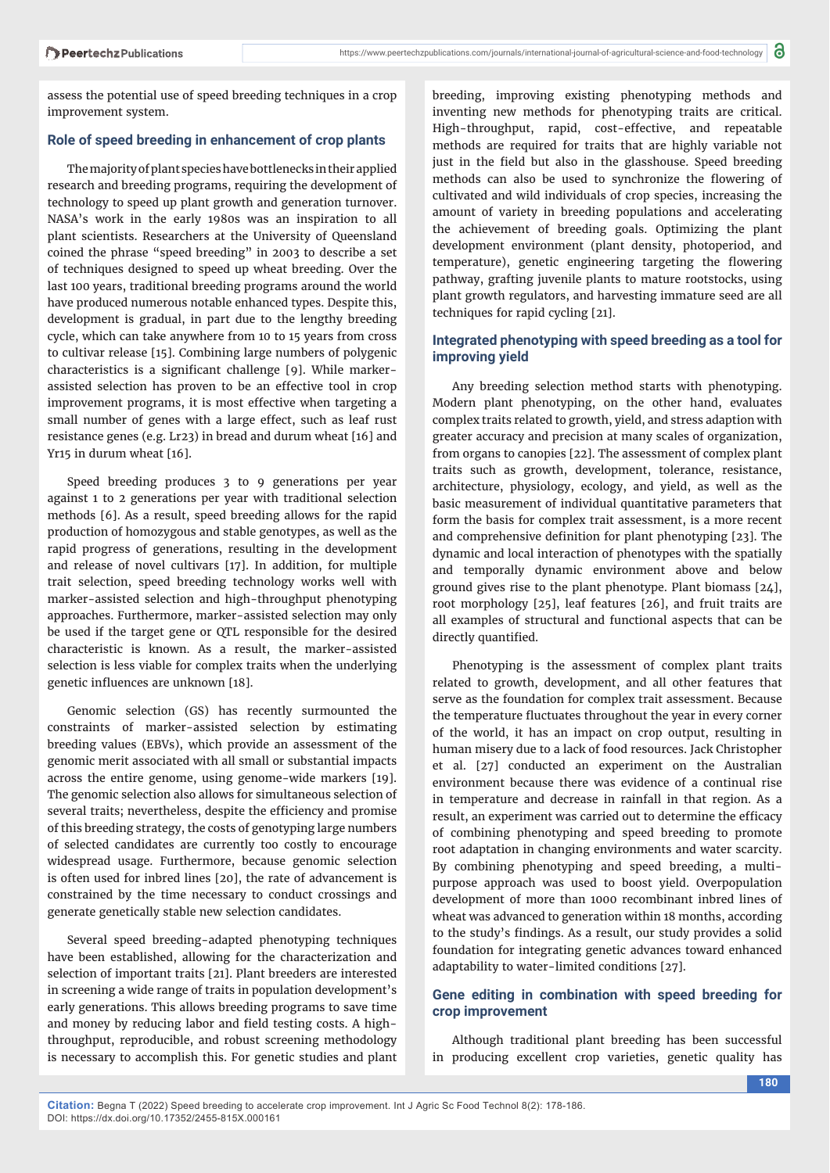assess the potential use of speed breeding techniques in a crop improvement system.

#### **Role of speed breeding in enhancement of crop plants**

The majority of plant species have bottlenecks in their applied research and breeding programs, requiring the development of technology to speed up plant growth and generation turnover. NASA's work in the early 1980s was an inspiration to all plant scientists. Researchers at the University of Queensland coined the phrase "speed breeding" in 2003 to describe a set of techniques designed to speed up wheat breeding. Over the last 100 years, traditional breeding programs around the world have produced numerous notable enhanced types. Despite this, development is gradual, in part due to the lengthy breeding cycle, which can take anywhere from 10 to 15 years from cross to cultivar release [15]. Combining large numbers of polygenic characteristics is a significant challenge [9]. While markerassisted selection has proven to be an effective tool in crop improvement programs, it is most effective when targeting a small number of genes with a large effect, such as leaf rust resistance genes (e.g. Lr23) in bread and durum wheat [16] and Yr15 in durum wheat [16].

Speed breeding produces 3 to 9 generations per year against 1 to 2 generations per year with traditional selection methods [6]. As a result, speed breeding allows for the rapid production of homozygous and stable genotypes, as well as the rapid progress of generations, resulting in the development and release of novel cultivars [17]. In addition, for multiple trait selection, speed breeding technology works well with marker-assisted selection and high-throughput phenotyping approaches. Furthermore, marker-assisted selection may only be used if the target gene or QTL responsible for the desired characteristic is known. As a result, the marker-assisted selection is less viable for complex traits when the underlying genetic influences are unknown [18].

Genomic selection (GS) has recently surmounted the constraints of marker-assisted selection by estimating breeding values (EBVs), which provide an assessment of the genomic merit associated with all small or substantial impacts across the entire genome, using genome-wide markers [19]. The genomic selection also allows for simultaneous selection of several traits; nevertheless, despite the efficiency and promise of this breeding strategy, the costs of genotyping large numbers of selected candidates are currently too costly to encourage widespread usage. Furthermore, because genomic selection is often used for inbred lines [20], the rate of advancement is constrained by the time necessary to conduct crossings and generate genetically stable new selection candidates.

Several speed breeding-adapted phenotyping techniques have been established, allowing for the characterization and selection of important traits [21]. Plant breeders are interested in screening a wide range of traits in population development's early generations. This allows breeding programs to save time and money by reducing labor and field testing costs. A highthroughput, reproducible, and robust screening methodology is necessary to accomplish this. For genetic studies and plant breeding, improving existing phenotyping methods and inventing new methods for phenotyping traits are critical. High-throughput, rapid, cost-effective, and repeatable methods are required for traits that are highly variable not just in the field but also in the glasshouse. Speed breeding methods can also be used to synchronize the flowering of cultivated and wild individuals of crop species, increasing the amount of variety in breeding populations and accelerating the achievement of breeding goals. Optimizing the plant development environment (plant density, photoperiod, and temperature), genetic engineering targeting the flowering pathway, grafting juvenile plants to mature rootstocks, using plant growth regulators, and harvesting immature seed are all techniques for rapid cycling [21].

#### **Integrated phenotyping with speed breeding as a tool for improving yield**

Any breeding selection method starts with phenotyping. Modern plant phenotyping, on the other hand, evaluates complex traits related to growth, yield, and stress adaption with greater accuracy and precision at many scales of organization, from organs to canopies [22]. The assessment of complex plant traits such as growth, development, tolerance, resistance, architecture, physiology, ecology, and yield, as well as the basic measurement of individual quantitative parameters that form the basis for complex trait assessment, is a more recent and comprehensive definition for plant phenotyping [23]. The dynamic and local interaction of phenotypes with the spatially and temporally dynamic environment above and below ground gives rise to the plant phenotype. Plant biomass [24], root morphology [25], leaf features [26], and fruit traits are all examples of structural and functional aspects that can be directly quantified.

Phenotyping is the assessment of complex plant traits related to growth, development, and all other features that serve as the foundation for complex trait assessment. Because the temperature fluctuates throughout the year in every corner of the world, it has an impact on crop output, resulting in human misery due to a lack of food resources. Jack Christopher et al. [27] conducted an experiment on the Australian environment because there was evidence of a continual rise in temperature and decrease in rainfall in that region. As a result, an experiment was carried out to determine the efficacy of combining phenotyping and speed breeding to promote root adaptation in changing environments and water scarcity. By combining phenotyping and speed breeding, a multipurpose approach was used to boost yield. Overpopulation development of more than 1000 recombinant inbred lines of wheat was advanced to generation within 18 months, according to the study's findings. As a result, our study provides a solid foundation for integrating genetic advances toward enhanced adaptability to water-limited conditions [27].

#### **Gene editing in combination with speed breeding for crop improvement**

Although traditional plant breeding has been successful in producing excellent crop varieties, genetic quality has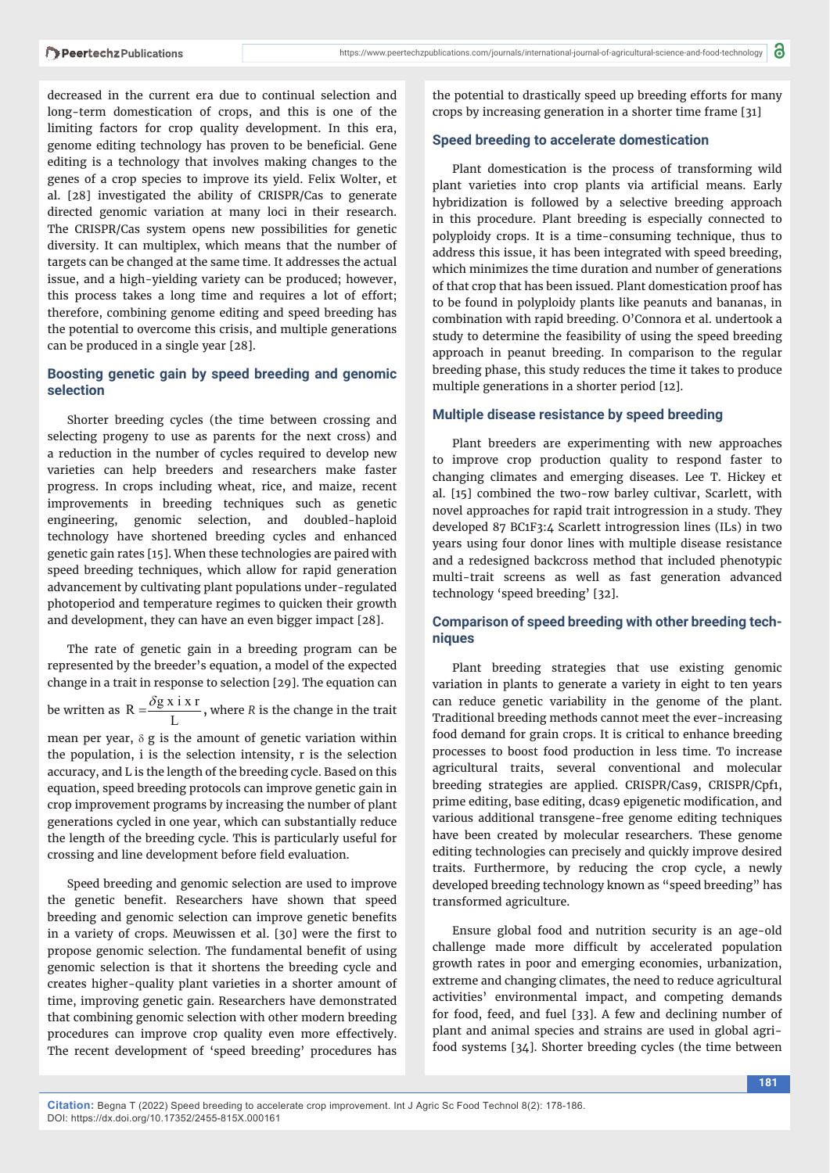decreased in the current era due to continual selection and long-term domestication of crops, and this is one of the limiting factors for crop quality development. In this era, genome editing technology has proven to be beneficial. Gene editing is a technology that involves making changes to the genes of a crop species to improve its yield. Felix Wolter, et al. [28] investigated the ability of CRISPR/Cas to generate directed genomic variation at many loci in their research. The CRISPR/Cas system opens new possibilities for genetic diversity. It can multiplex, which means that the number of targets can be changed at the same time. It addresses the actual issue, and a high-yielding variety can be produced; however, this process takes a long time and requires a lot of effort; therefore, combining genome editing and speed breeding has the potential to overcome this crisis, and multiple generations can be produced in a single year [28].

### **Boosting genetic gain by speed breeding and genomic selection**

Shorter breeding cycles (the time between crossing and selecting progeny to use as parents for the next cross) and a reduction in the number of cycles required to develop new varieties can help breeders and researchers make faster progress. In crops including wheat, rice, and maize, recent improvements in breeding techniques such as genetic engineering, genomic selection, and doubled-haploid technology have shortened breeding cycles and enhanced genetic gain rates [15]. When these technologies are paired with speed breeding techniques, which allow for rapid generation advancement by cultivating plant populations under-regulated photoperiod and temperature regimes to quicken their growth and development, they can have an even bigger impact [28].

The rate of genetic gain in a breeding program can be represented by the breeder's equation, a model of the expected change in a trait in response to selection [29]. The equation can

be written as  $R = \frac{\delta g \times i \times r}{L}$  $=\frac{\delta g x i x r}{2}$ , where *R* is the change in the trait

mean per year,  $\delta$  g is the amount of genetic variation within the population, i is the selection intensity, r is the selection accuracy, and L is the length of the breeding cycle. Based on this equation, speed breeding protocols can improve genetic gain in crop improvement programs by increasing the number of plant generations cycled in one year, which can substantially reduce the length of the breeding cycle. This is particularly useful for crossing and line development before field evaluation.

Speed breeding and genomic selection are used to improve the genetic benefit. Researchers have shown that speed breeding and genomic selection can improve genetic benefits in a variety of crops. Meuwissen et al. [30] were the first to propose genomic selection. The fundamental benefit of using genomic selection is that it shortens the breeding cycle and creates higher-quality plant varieties in a shorter amount of time, improving genetic gain. Researchers have demonstrated that combining genomic selection with other modern breeding procedures can improve crop quality even more effectively. The recent development of 'speed breeding' procedures has

the potential to drastically speed up breeding efforts for many crops by increasing generation in a shorter time frame [31]

## **Speed breeding to accelerate domestication**

Plant domestication is the process of transforming wild plant varieties into crop plants via artificial means. Early hybridization is followed by a selective breeding approach in this procedure. Plant breeding is especially connected to polyploidy crops. It is a time-consuming technique, thus to address this issue, it has been integrated with speed breeding, which minimizes the time duration and number of generations of that crop that has been issued. Plant domestication proof has to be found in polyploidy plants like peanuts and bananas, in combination with rapid breeding. O'Connora et al. undertook a study to determine the feasibility of using the speed breeding approach in peanut breeding. In comparison to the regular breeding phase, this study reduces the time it takes to produce multiple generations in a shorter period [12].

# **Multiple disease resistance by speed breeding**

Plant breeders are experimenting with new approaches to improve crop production quality to respond faster to changing climates and emerging diseases. Lee T. Hickey et al. [15] combined the two-row barley cultivar, Scarlett, with novel approaches for rapid trait introgression in a study. They developed 87 BC1F3:4 Scarlett introgression lines (ILs) in two years using four donor lines with multiple disease resistance and a redesigned backcross method that included phenotypic multi-trait screens as well as fast generation advanced technology 'speed breeding' [32].

## **Comparison of speed breeding with other breeding techniques**

Plant breeding strategies that use existing genomic variation in plants to generate a variety in eight to ten years can reduce genetic variability in the genome of the plant. Traditional breeding methods cannot meet the ever-increasing food demand for grain crops. It is critical to enhance breeding processes to boost food production in less time. To increase agricultural traits, several conventional and molecular breeding strategies are applied. CRISPR/Cas9, CRISPR/Cpf1, prime editing, base editing, dcas9 epigenetic modification, and various additional transgene-free genome editing techniques have been created by molecular researchers. These genome editing technologies can precisely and quickly improve desired traits. Furthermore, by reducing the crop cycle, a newly developed breeding technology known as "speed breeding" has transformed agriculture.

Ensure global food and nutrition security is an age-old challenge made more difficult by accelerated population growth rates in poor and emerging economies, urbanization, extreme and changing climates, the need to reduce agricultural activities' environmental impact, and competing demands for food, feed, and fuel [33]. A few and declining number of plant and animal species and strains are used in global agrifood systems [34]. Shorter breeding cycles (the time between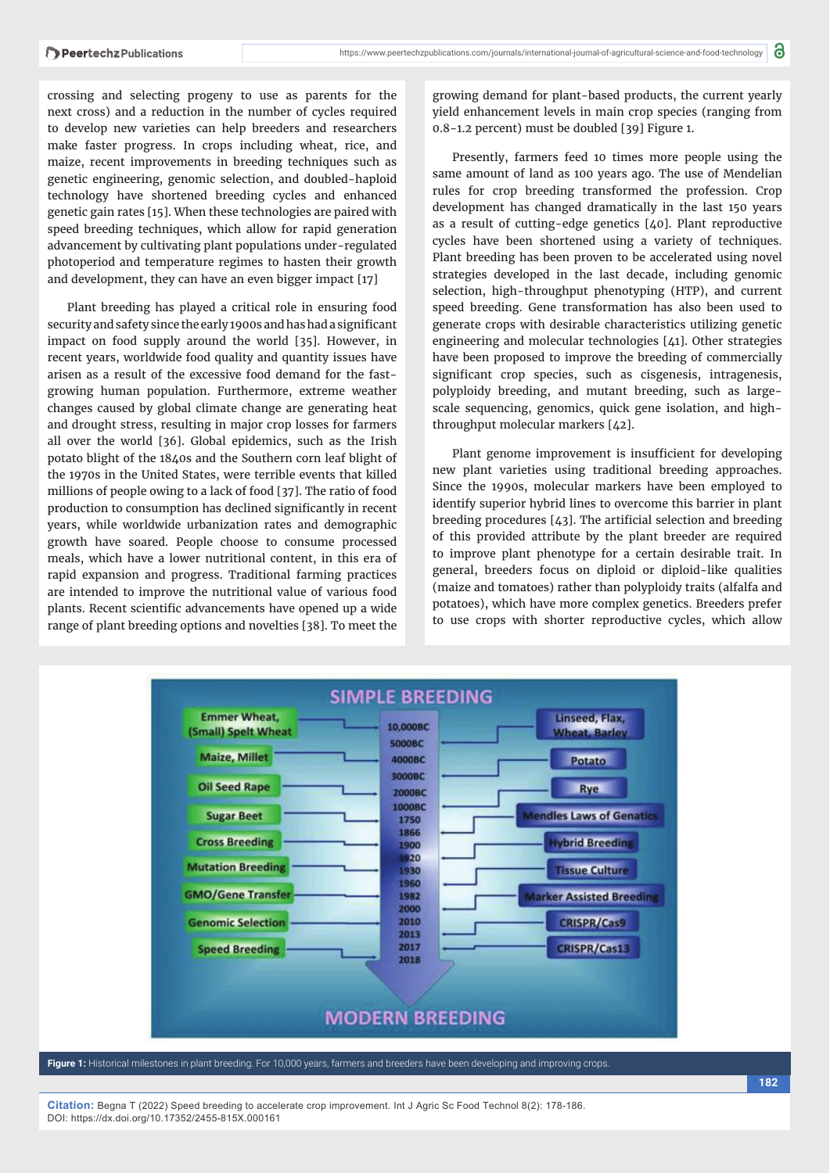crossing and selecting progeny to use as parents for the next cross) and a reduction in the number of cycles required to develop new varieties can help breeders and researchers make faster progress. In crops including wheat, rice, and maize, recent improvements in breeding techniques such as genetic engineering, genomic selection, and doubled-haploid technology have shortened breeding cycles and enhanced genetic gain rates [15]. When these technologies are paired with speed breeding techniques, which allow for rapid generation advancement by cultivating plant populations under-regulated photoperiod and temperature regimes to hasten their growth and development, they can have an even bigger impact [17]

Plant breeding has played a critical role in ensuring food security and safety since the early 1900s and has had a significant impact on food supply around the world [35]. However, in recent years, worldwide food quality and quantity issues have arisen as a result of the excessive food demand for the fastgrowing human population. Furthermore, extreme weather changes caused by global climate change are generating heat and drought stress, resulting in major crop losses for farmers all over the world [36]. Global epidemics, such as the Irish potato blight of the 1840s and the Southern corn leaf blight of the 1970s in the United States, were terrible events that killed millions of people owing to a lack of food [37]. The ratio of food production to consumption has declined significantly in recent years, while worldwide urbanization rates and demographic growth have soared. People choose to consume processed meals, which have a lower nutritional content, in this era of rapid expansion and progress. Traditional farming practices are intended to improve the nutritional value of various food plants. Recent scientific advancements have opened up a wide range of plant breeding options and novelties [38]. To meet the

growing demand for plant-based products, the current yearly yield enhancement levels in main crop species (ranging from 0.8-1.2 percent) must be doubled [39] Figure 1.

Presently, farmers feed 10 times more people using the same amount of land as 100 years ago. The use of Mendelian rules for crop breeding transformed the profession. Crop development has changed dramatically in the last 150 years as a result of cutting-edge genetics [40]. Plant reproductive cycles have been shortened using a variety of techniques. Plant breeding has been proven to be accelerated using novel strategies developed in the last decade, including genomic selection, high-throughput phenotyping (HTP), and current speed breeding. Gene transformation has also been used to generate crops with desirable characteristics utilizing genetic engineering and molecular technologies [41]. Other strategies have been proposed to improve the breeding of commercially significant crop species, such as cisgenesis, intragenesis, polyploidy breeding, and mutant breeding, such as largescale sequencing, genomics, quick gene isolation, and highthroughput molecular markers [42].

Plant genome improvement is insufficient for developing new plant varieties using traditional breeding approaches. Since the 1990s, molecular markers have been employed to identify superior hybrid lines to overcome this barrier in plant breeding procedures  $[43]$ . The artificial selection and breeding of this provided attribute by the plant breeder are required to improve plant phenotype for a certain desirable trait. In general, breeders focus on diploid or diploid-like qualities (maize and tomatoes) rather than polyploidy traits (alfalfa and potatoes), which have more complex genetics. Breeders prefer to use crops with shorter reproductive cycles, which allow



**Figure 1:** Historical milestones in plant breeding. For 10,000 years, farmers and breeders have been developing and improving crops.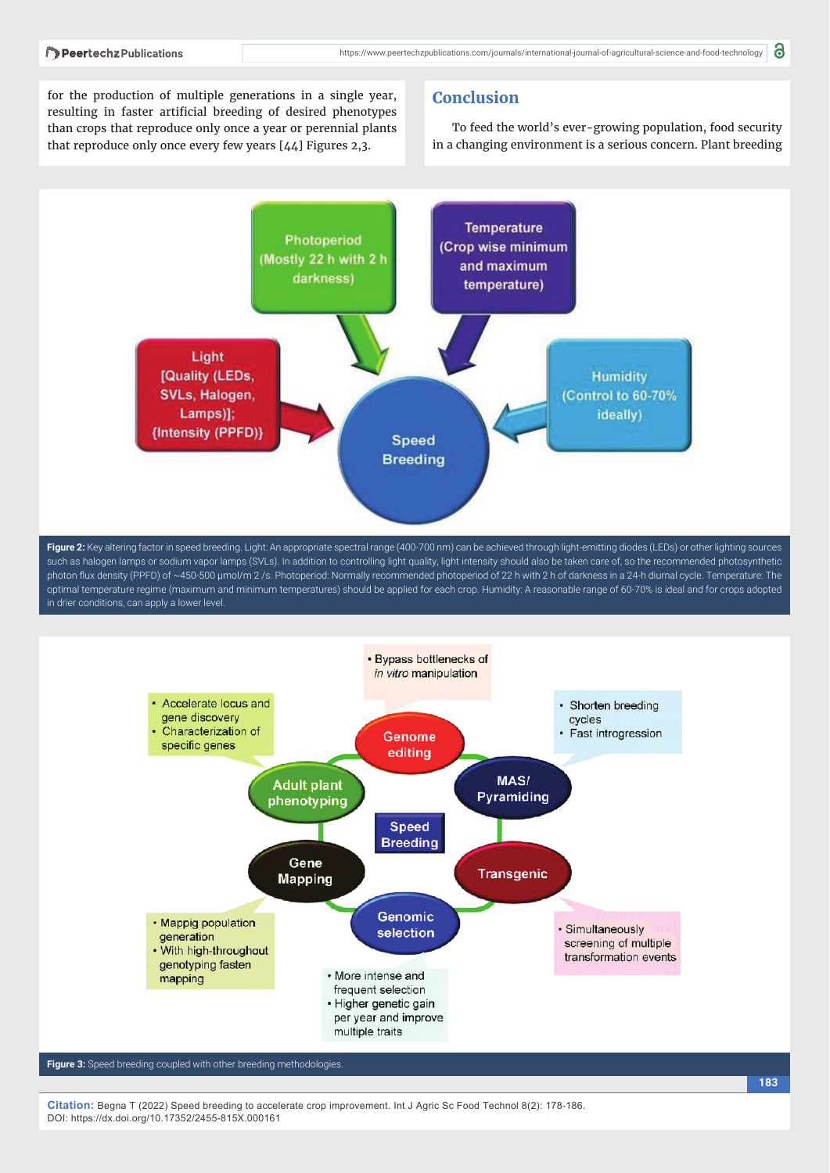for the production of multiple generations in a single year, resulting in faster artificial breeding of desired phenotypes than crops that reproduce only once a year or perennial plants that reproduce only once every few years [44] Figures 2,3.

## **Conclusion**

To feed the world's ever-growing population, food security in a changing environment is a serious concern. Plant breeding



**Figure 2:** Key altering factor in speed breeding. Light: An appropriate spectral range (400-700 nm) can be achieved through light-emitting diodes (LEDs) or other lighting sources such as halogen lamps or sodium vapor lamps (SVLs). In addition to controlling light quality, light intensity should also be taken care of, so the recommended photosynthetic photon flux density (PPFD) of ~450-500 µmol/m 2 /s. Photoperiod: Normally recommended photoperiod of 22 h with 2 h of darkness in a 24-h diurnal cycle. Temperature: The optimal temperature regime (maximum and minimum temperatures) should be applied for each crop. Humidity: A reasonable range of 60-70% is ideal and for crops adopted in drier conditions, can apply a lower level.



**Figure 3:** Speed breeding coupled with other breeding methodologies.

**Citation:** Begna T (2022) Speed breeding to accelerate crop improvement. Int J Agric Sc Food Technol 8(2): 178-186. DOI: https://dx.doi.org/10.17352/2455-815X.000161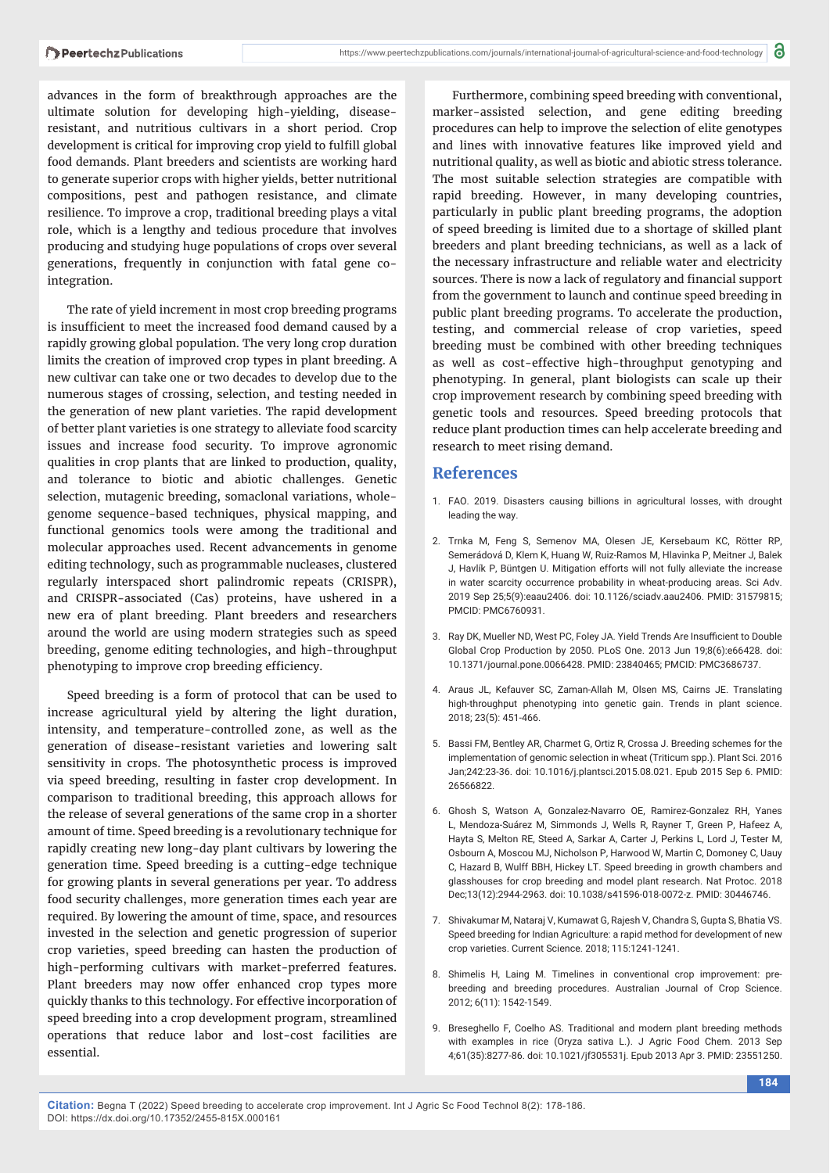advances in the form of breakthrough approaches are the ultimate solution for developing high-yielding, diseaseresistant, and nutritious cultivars in a short period. Crop development is critical for improving crop yield to fulfill global food demands. Plant breeders and scientists are working hard to generate superior crops with higher yields, better nutritional compositions, pest and pathogen resistance, and climate resilience. To improve a crop, traditional breeding plays a vital role, which is a lengthy and tedious procedure that involves producing and studying huge populations of crops over several generations, frequently in conjunction with fatal gene cointegration.

The rate of yield increment in most crop breeding programs is insufficient to meet the increased food demand caused by a rapidly growing global population. The very long crop duration limits the creation of improved crop types in plant breeding. A new cultivar can take one or two decades to develop due to the numerous stages of crossing, selection, and testing needed in the generation of new plant varieties. The rapid development of better plant varieties is one strategy to alleviate food scarcity issues and increase food security. To improve agronomic qualities in crop plants that are linked to production, quality, and tolerance to biotic and abiotic challenges. Genetic selection, mutagenic breeding, somaclonal variations, wholegenome sequence-based techniques, physical mapping, and functional genomics tools were among the traditional and molecular approaches used. Recent advancements in genome editing technology, such as programmable nucleases, clustered regularly interspaced short palindromic repeats (CRISPR), and CRISPR-associated (Cas) proteins, have ushered in a new era of plant breeding. Plant breeders and researchers around the world are using modern strategies such as speed breeding, genome editing technologies, and high-throughput phenotyping to improve crop breeding efficiency.

Speed breeding is a form of protocol that can be used to increase agricultural yield by altering the light duration, intensity, and temperature-controlled zone, as well as the generation of disease-resistant varieties and lowering salt sensitivity in crops. The photosynthetic process is improved via speed breeding, resulting in faster crop development. In comparison to traditional breeding, this approach allows for the release of several generations of the same crop in a shorter amount of time. Speed breeding is a revolutionary technique for rapidly creating new long-day plant cultivars by lowering the generation time. Speed breeding is a cutting-edge technique for growing plants in several generations per year. To address food security challenges, more generation times each year are required. By lowering the amount of time, space, and resources invested in the selection and genetic progression of superior crop varieties, speed breeding can hasten the production of high-performing cultivars with market-preferred features. Plant breeders may now offer enhanced crop types more quickly thanks to this technology. For effective incorporation of speed breeding into a crop development program, streamlined operations that reduce labor and lost-cost facilities are essential.

Furthermore, combining speed breeding with conventional, marker-assisted selection, and gene editing breeding procedures can help to improve the selection of elite genotypes and lines with innovative features like improved yield and nutritional quality, as well as biotic and abiotic stress tolerance. The most suitable selection strategies are compatible with rapid breeding. However, in many developing countries, particularly in public plant breeding programs, the adoption of speed breeding is limited due to a shortage of skilled plant breeders and plant breeding technicians, as well as a lack of the necessary infrastructure and reliable water and electricity sources. There is now a lack of regulatory and financial support from the government to launch and continue speed breeding in public plant breeding programs. To accelerate the production, testing, and commercial release of crop varieties, speed breeding must be combined with other breeding techniques as well as cost-effective high-throughput genotyping and phenotyping. In general, plant biologists can scale up their crop improvement research by combining speed breeding with genetic tools and resources. Speed breeding protocols that reduce plant production times can help accelerate breeding and research to meet rising demand.

#### **References**

- 1. FAO. 2019. Disasters causing billions in agricultural losses, with drought leading the way.
- 2. Trnka M, Feng S, Semenov MA, Olesen JE, Kersebaum KC, Rötter RP, Semerádová D, Klem K, Huang W, Ruiz-Ramos M, Hlavinka P, Meitner J, Balek J, Havlík P, Büntgen U. Mitigation efforts will not fully alleviate the increase in water scarcity occurrence probability in wheat-producing areas. Sci Adv. 2019 Sep 25;5(9):eaau2406. doi: 10.1126/sciadv.aau2406. PMID: 31579815; PMCID: PMC6760931.
- 3. Ray DK, Mueller ND, West PC, Foley JA. Yield Trends Are Insufficient to Double Global Crop Production by 2050. PLoS One. 2013 Jun 19;8(6):e66428. doi: 10.1371/journal.pone.0066428. PMID: 23840465; PMCID: PMC3686737.
- 4. Araus JL, Kefauver SC, Zaman-Allah M, Olsen MS, Cairns JE. Translating high-throughput phenotyping into genetic gain. Trends in plant science. 2018; 23(5): 451-466.
- 5. Bassi FM, Bentley AR, Charmet G, Ortiz R, Crossa J. Breeding schemes for the implementation of genomic selection in wheat (Triticum spp.). Plant Sci. 2016 Jan;242:23-36. doi: 10.1016/j.plantsci.2015.08.021. Epub 2015 Sep 6. PMID: 26566822.
- 6. Ghosh S, Watson A, Gonzalez-Navarro OE, Ramirez-Gonzalez RH, Yanes L, Mendoza-Suárez M, Simmonds J, Wells R, Rayner T, Green P, Hafeez A, Hayta S, Melton RE, Steed A, Sarkar A, Carter J, Perkins L, Lord J, Tester M, Osbourn A, Moscou MJ, Nicholson P, Harwood W, Martin C, Domoney C, Uauy C, Hazard B, Wulff BBH, Hickey LT. Speed breeding in growth chambers and glasshouses for crop breeding and model plant research. Nat Protoc. 2018 Dec;13(12):2944-2963. doi: 10.1038/s41596-018-0072-z. PMID: 30446746.
- 7. Shivakumar M, Nataraj V, Kumawat G, Rajesh V, Chandra S, Gupta S, Bhatia VS. Speed breeding for Indian Agriculture: a rapid method for development of new crop varieties. Current Science. 2018; 115:1241-1241.
- 8. Shimelis H, Laing M. Timelines in conventional crop improvement: prebreeding and breeding procedures. Australian Journal of Crop Science. 2012; 6(11): 1542-1549.
- 9. Breseghello F, Coelho AS. Traditional and modern plant breeding methods with examples in rice (Oryza sativa L.). J Agric Food Chem. 2013 Sep 4;61(35):8277-86. doi: 10.1021/jf305531j. Epub 2013 Apr 3. PMID: 23551250.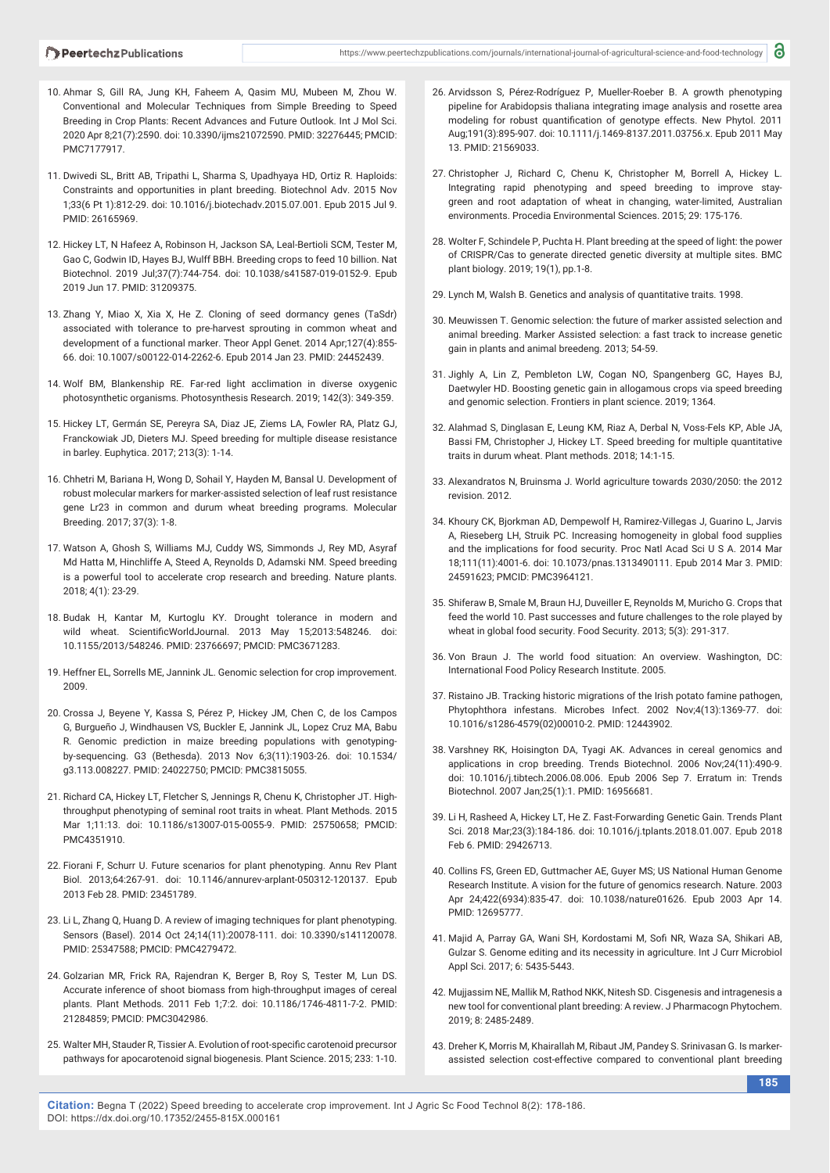- 10. Ahmar S, Gill RA, Jung KH, Faheem A, Qasim MU, Mubeen M, Zhou W. Conventional and Molecular Techniques from Simple Breeding to Speed Breeding in Crop Plants: Recent Advances and Future Outlook. Int J Mol Sci. 2020 Apr 8;21(7):2590. doi: 10.3390/ijms21072590. PMID: 32276445; PMCID: PMC7177917.
- 11. Dwivedi SL, Britt AB, Tripathi L, Sharma S, Upadhyaya HD, Ortiz R. Haploids: Constraints and opportunities in plant breeding. Biotechnol Adv. 2015 Nov 1;33(6 Pt 1):812-29. doi: 10.1016/j.biotechadv.2015.07.001. Epub 2015 Jul 9. PMID: 26165969.
- 12. Hickey LT, N Hafeez A, Robinson H, Jackson SA, Leal-Bertioli SCM, Tester M, Gao C, Godwin ID, Hayes BJ, Wulff BBH. Breeding crops to feed 10 billion. Nat Biotechnol. 2019 Jul;37(7):744-754. doi: 10.1038/s41587-019-0152-9. Epub 2019 Jun 17. PMID: 31209375.
- 13. Zhang Y, Miao X, Xia X, He Z. Cloning of seed dormancy genes (TaSdr) associated with tolerance to pre-harvest sprouting in common wheat and development of a functional marker. Theor Appl Genet. 2014 Apr;127(4):855- 66. doi: 10.1007/s00122-014-2262-6. Epub 2014 Jan 23. PMID: 24452439.
- 14. Wolf BM, Blankenship RE. Far-red light acclimation in diverse oxygenic photosynthetic organisms. Photosynthesis Research. 2019; 142(3): 349-359.
- 15. Hickey LT, Germán SE, Pereyra SA, Diaz JE, Ziems LA, Fowler RA, Platz GJ, Franckowiak JD, Dieters MJ. Speed breeding for multiple disease resistance in barley. Euphytica. 2017; 213(3): 1-14.
- 16. Chhetri M, Bariana H, Wong D, Sohail Y, Hayden M, Bansal U. Development of robust molecular markers for marker-assisted selection of leaf rust resistance gene Lr23 in common and durum wheat breeding programs. Molecular Breeding. 2017; 37(3): 1-8.
- 17. Watson A, Ghosh S, Williams MJ, Cuddy WS, Simmonds J, Rey MD, Asyraf Md Hatta M, Hinchliffe A, Steed A, Reynolds D, Adamski NM. Speed breeding is a powerful tool to accelerate crop research and breeding. Nature plants. 2018; 4(1): 23-29.
- 18. Budak H, Kantar M, Kurtoglu KY. Drought tolerance in modern and wild wheat. ScientificWorldJournal. 2013 May 15;2013:548246. doi: 10.1155/2013/548246. PMID: 23766697; PMCID: PMC3671283.
- 19. Heffner EL, Sorrells ME, Jannink JL. Genomic selection for crop improvement. 2009.
- 20. Crossa J, Beyene Y, Kassa S, Pérez P, Hickey JM, Chen C, de los Campos G, Burgueño J, Windhausen VS, Buckler E, Jannink JL, Lopez Cruz MA, Babu R. Genomic prediction in maize breeding populations with genotypingby-sequencing. G3 (Bethesda). 2013 Nov 6;3(11):1903-26. doi: 10.1534/ g3.113.008227. PMID: 24022750; PMCID: PMC3815055.
- 21. Richard CA, Hickey LT, Fletcher S, Jennings R, Chenu K, Christopher JT. Highthroughput phenotyping of seminal root traits in wheat. Plant Methods. 2015 Mar 1;11:13. doi: 10.1186/s13007-015-0055-9. PMID: 25750658; PMCID: PMC4351910.
- 22. Fiorani F, Schurr U. Future scenarios for plant phenotyping. Annu Rev Plant Biol. 2013;64:267-91. doi: 10.1146/annurev-arplant-050312-120137. Epub 2013 Feb 28. PMID: 23451789.
- 23. Li L, Zhang Q, Huang D. A review of imaging techniques for plant phenotyping. Sensors (Basel). 2014 Oct 24;14(11):20078-111. doi: 10.3390/s141120078. PMID: 25347588; PMCID: PMC4279472.
- 24. Golzarian MR, Frick RA, Rajendran K, Berger B, Roy S, Tester M, Lun DS. Accurate inference of shoot biomass from high-throughput images of cereal plants. Plant Methods. 2011 Feb 1;7:2. doi: 10.1186/1746-4811-7-2. PMID: 21284859; PMCID: PMC3042986.
- 25. Walter MH, Stauder R, Tissier A, Evolution of root-specific carotenoid precursor pathways for apocarotenoid signal biogenesis. Plant Science. 2015; 233: 1-10.
- 26. Arvidsson S, Pérez-Rodríguez P, Mueller-Roeber B. A growth phenotyping pipeline for Arabidopsis thaliana integrating image analysis and rosette area modeling for robust quantification of genotype effects. New Phytol. 2011 Aug;191(3):895-907. doi: 10.1111/j.1469-8137.2011.03756.x. Epub 2011 May 13. PMID: 21569033.
- 27. Christopher J, Richard C, Chenu K, Christopher M, Borrell A, Hickey L. Integrating rapid phenotyping and speed breeding to improve staygreen and root adaptation of wheat in changing, water-limited, Australian environments. Procedia Environmental Sciences. 2015; 29: 175-176.
- 28. Wolter F, Schindele P, Puchta H. Plant breeding at the speed of light: the power of CRISPR/Cas to generate directed genetic diversity at multiple sites. BMC plant biology. 2019; 19(1), pp.1-8.
- 29. Lynch M, Walsh B. Genetics and analysis of quantitative traits. 1998.
- 30. Meuwissen T. Genomic selection: the future of marker assisted selection and animal breeding. Marker Assisted selection: a fast track to increase genetic gain in plants and animal breedeng. 2013; 54-59.
- 31. Jighly A, Lin Z, Pembleton LW, Cogan NO, Spangenberg GC, Hayes BJ, Daetwyler HD. Boosting genetic gain in allogamous crops via speed breeding and genomic selection. Frontiers in plant science. 2019; 1364.
- 32. Alahmad S, Dinglasan E, Leung KM, Riaz A, Derbal N, Voss-Fels KP, Able JA, Bassi FM, Christopher J, Hickey LT. Speed breeding for multiple quantitative traits in durum wheat. Plant methods. 2018; 14:1-15.
- 33. Alexandratos N, Bruinsma J. World agriculture towards 2030/2050: the 2012 revision. 2012.
- 34. Khoury CK, Bjorkman AD, Dempewolf H, Ramirez-Villegas J, Guarino L, Jarvis A, Rieseberg LH, Struik PC. Increasing homogeneity in global food supplies and the implications for food security. Proc Natl Acad Sci U S A. 2014 Mar 18;111(11):4001-6. doi: 10.1073/pnas.1313490111. Epub 2014 Mar 3. PMID: 24591623; PMCID: PMC3964121.
- 35. Shiferaw B, Smale M, Braun HJ, Duveiller E, Reynolds M, Muricho G. Crops that feed the world 10. Past successes and future challenges to the role played by wheat in global food security. Food Security. 2013; 5(3): 291-317.
- 36. Von Braun J. The world food situation: An overview. Washington, DC: International Food Policy Research Institute. 2005.
- 37. Ristaino JB. Tracking historic migrations of the Irish potato famine pathogen, Phytophthora infestans. Microbes Infect. 2002 Nov;4(13):1369-77. doi: 10.1016/s1286-4579(02)00010-2. PMID: 12443902.
- 38. Varshney RK, Hoisington DA, Tyagi AK. Advances in cereal genomics and applications in crop breeding. Trends Biotechnol. 2006 Nov;24(11):490-9. doi: 10.1016/j.tibtech.2006.08.006. Epub 2006 Sep 7. Erratum in: Trends Biotechnol. 2007 Jan;25(1):1. PMID: 16956681.
- 39. Li H, Rasheed A, Hickey LT, He Z. Fast-Forwarding Genetic Gain. Trends Plant Sci. 2018 Mar;23(3):184-186. doi: 10.1016/j.tplants.2018.01.007. Epub 2018 Feb 6. PMID: 29426713.
- 40. Collins FS, Green ED, Guttmacher AE, Guyer MS; US National Human Genome Research Institute. A vision for the future of genomics research. Nature. 2003 Apr 24;422(6934):835-47. doi: 10.1038/nature01626. Epub 2003 Apr 14. PMID: 12695777.
- 41. Majid A, Parray GA, Wani SH, Kordostami M, Sofi NR, Waza SA, Shikari AB, Gulzar S. Genome editing and its necessity in agriculture. Int J Curr Microbiol Appl Sci. 2017; 6: 5435-5443.
- 42. Mujjassim NE, Mallik M, Rathod NKK, Nitesh SD. Cisgenesis and intragenesis a new tool for conventional plant breeding: A review. J Pharmacogn Phytochem. 2019; 8: 2485-2489.
- 43. Dreher K, Morris M, Khairallah M, Ribaut JM, Pandey S. Srinivasan G. Is markerassisted selection cost-effective compared to conventional plant breeding

**Citation:** Begna T (2022) Speed breeding to accelerate crop improvement. Int J Agric Sc Food Technol 8(2): 178-186. DOI: https://dx.doi.org/10.17352/2455-815X.000161